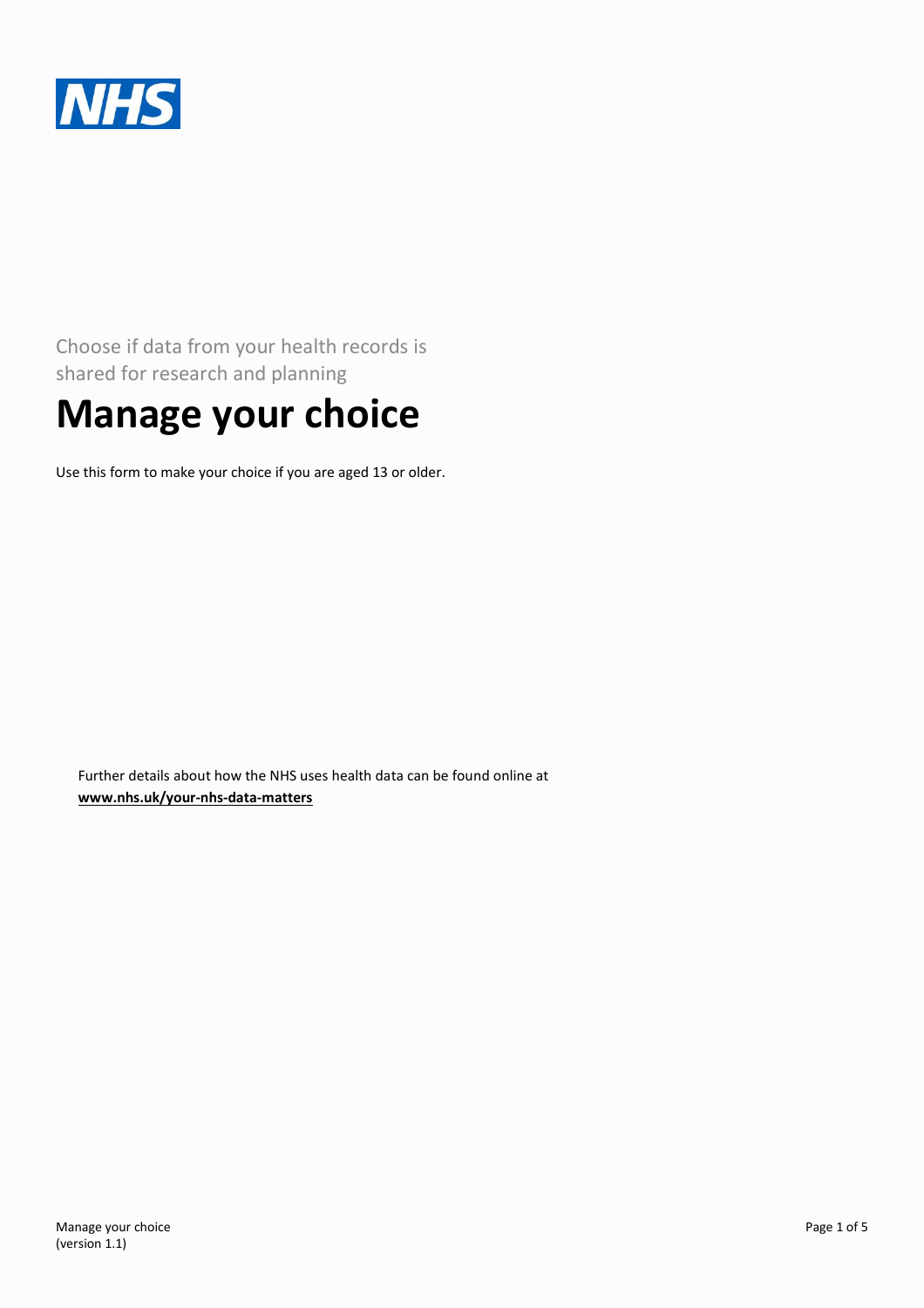

 Choose if data from your health records is shared for research and planning

# **Manage your choice**

Use this form to make your choice if you are aged 13 or older.

Further details about how the NHS uses health data can be found online at **<www.nhs.uk/your-nhs-data-matters>**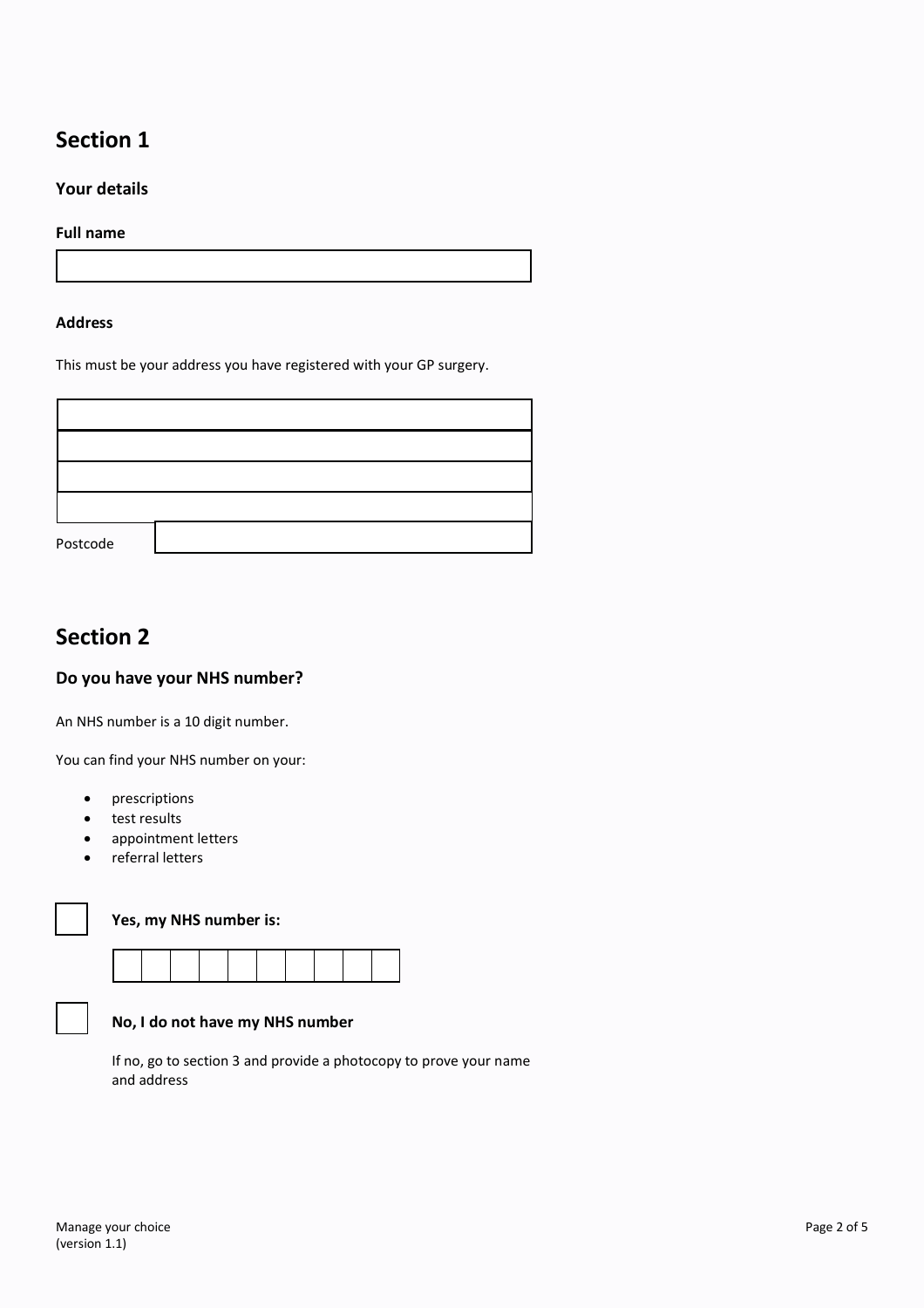### **Your details**

#### **Full name**

#### **Address**

This must be your address you have registered with your GP surgery.



# **Section 2**

### **Do you have your NHS number?**

An NHS number is a 10 digit number.

You can find your NHS number on your:

- prescriptions
- test results
- appointment letters
- referral letters



# **Yes, my NHS number is:**



# **No, I do not have my NHS number**  —<br>—<br>"

If no, go to section 3 and provide a photocopy to prove your name and address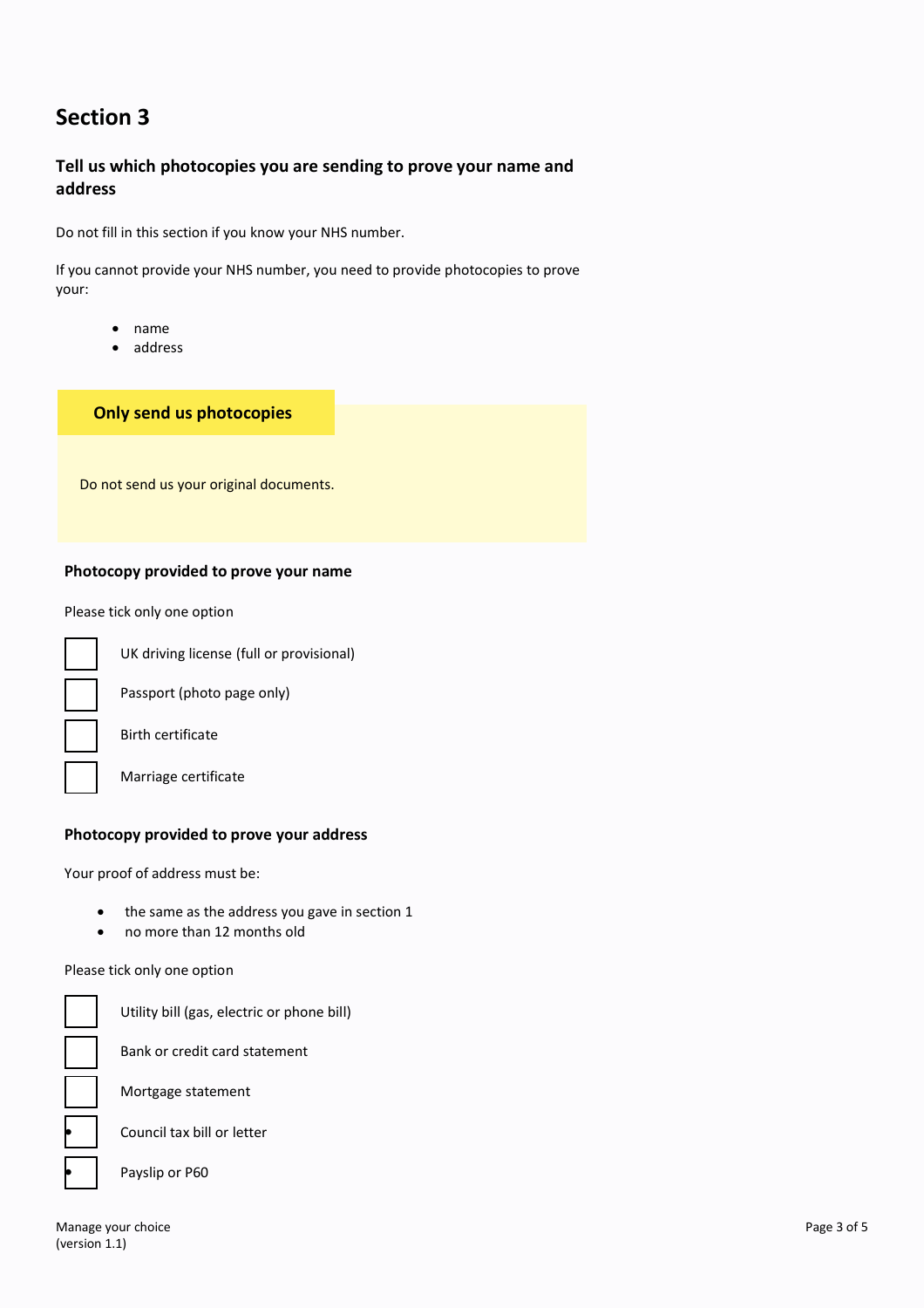## **Tell us which photocopies you are sending to prove your name and address**

Do not fill in this section if you know your NHS number.

If you cannot provide your NHS number, you need to provide photocopies to prove your:

- name
- address

 **Only send us photocopies** 

Do not send us your original documents.

#### **Photocopy provided to prove your name**

Please tick only one option



UK driving license (full or provisional)

Passport (photo page only)

Birth certificate

Marriage certificate

### **Photocopy provided to prove your address**

Your proof of address must be:

- the same as the address you gave in section 1
- no more than 12 months old

#### Please tick only one option



Utility bill (gas, electric or phone bill)

Bank or credit card statement

Mortgage statement

**•** Council tax bill or letter

**•** Payslip or P60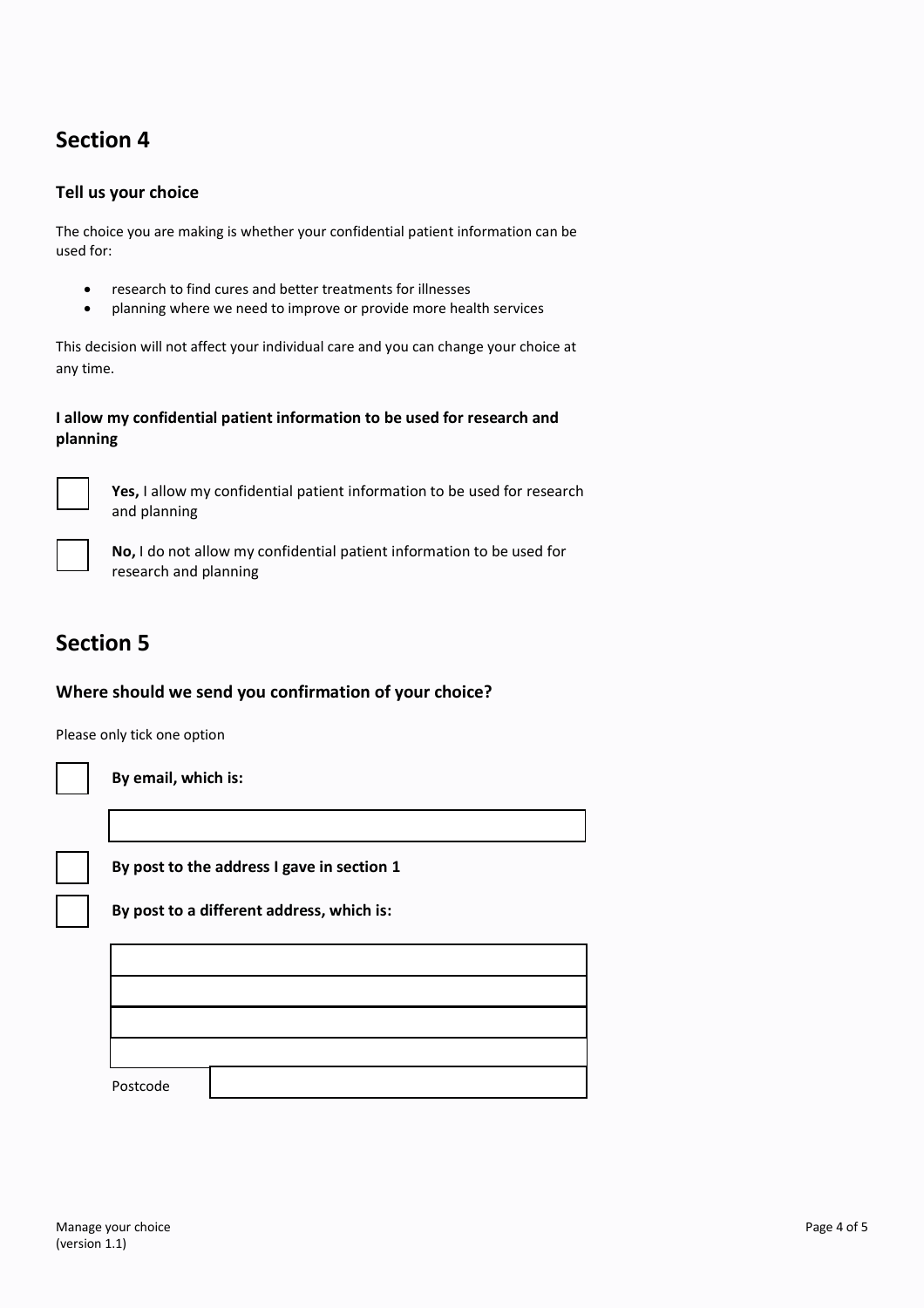## **Tell us your choice**

The choice you are making is whether your confidential patient information can be used for:

- research to find cures and better treatments for illnesses
- planning where we need to improve or provide more health services

This decision will not affect your individual care and you can change your choice at any time.

### **I allow my confidential patient information to be used for research and planning**



 **Yes,** I allow my confidential patient information to be used for research and planning



 **No,** I do not allow my confidential patient information to be used for research and planning

# **Section 5**

### **Where should we send you confirmation of your choice?**

Please only tick one option

 $~\cdot~$ 



**By email, which is:** 



 **By post to the address I gave in section 1** 

**By post to a different address, which is:** 

一<br>一 I Postcode